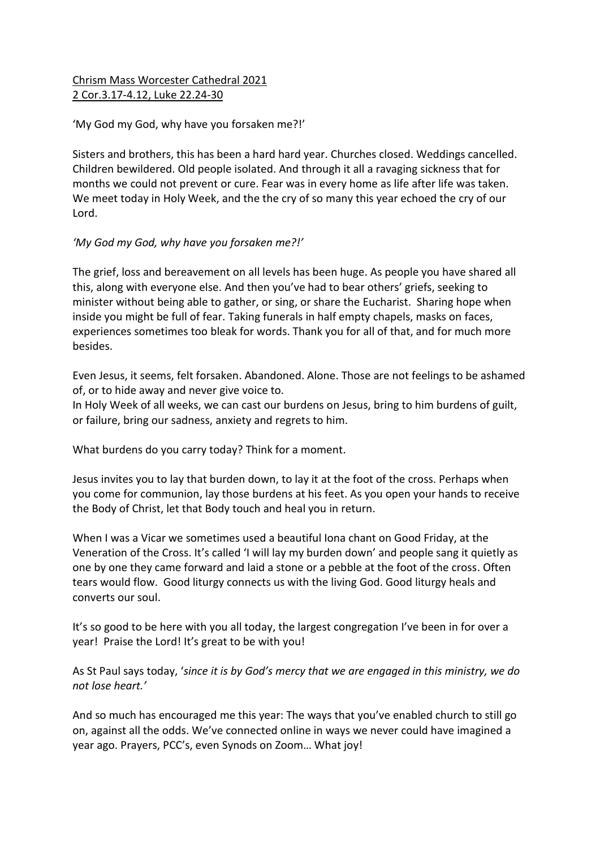## Chrism Mass Worcester Cathedral 2021 2 Cor.3.17-4.12, Luke 22.24-30

## 'My God my God, why have you forsaken me?!'

Sisters and brothers, this has been a hard hard year. Churches closed. Weddings cancelled. Children bewildered. Old people isolated. And through it all a ravaging sickness that for months we could not prevent or cure. Fear was in every home as life after life was taken. We meet today in Holy Week, and the the cry of so many this year echoed the cry of our Lord.

## *'My God my God, why have you forsaken me?!'*

The grief, loss and bereavement on all levels has been huge. As people you have shared all this, along with everyone else. And then you've had to bear others' griefs, seeking to minister without being able to gather, or sing, or share the Eucharist. Sharing hope when inside you might be full of fear. Taking funerals in half empty chapels, masks on faces, experiences sometimes too bleak for words. Thank you for all of that, and for much more besides.

Even Jesus, it seems, felt forsaken. Abandoned. Alone. Those are not feelings to be ashamed of, or to hide away and never give voice to.

In Holy Week of all weeks, we can cast our burdens on Jesus, bring to him burdens of guilt, or failure, bring our sadness, anxiety and regrets to him.

What burdens do you carry today? Think for a moment.

Jesus invites you to lay that burden down, to lay it at the foot of the cross. Perhaps when you come for communion, lay those burdens at his feet. As you open your hands to receive the Body of Christ, let that Body touch and heal you in return.

When I was a Vicar we sometimes used a beautiful Iona chant on Good Friday, at the Veneration of the Cross. It's called 'I will lay my burden down' and people sang it quietly as one by one they came forward and laid a stone or a pebble at the foot of the cross. Often tears would flow. Good liturgy connects us with the living God. Good liturgy heals and converts our soul.

It's so good to be here with you all today, the largest congregation I've been in for over a year! Praise the Lord! It's great to be with you!

As St Paul says today, '*since it is by God's mercy that we are engaged in this ministry, we do not lose heart.'*

And so much has encouraged me this year: The ways that you've enabled church to still go on, against all the odds. We've connected online in ways we never could have imagined a year ago. Prayers, PCC's, even Synods on Zoom… What joy!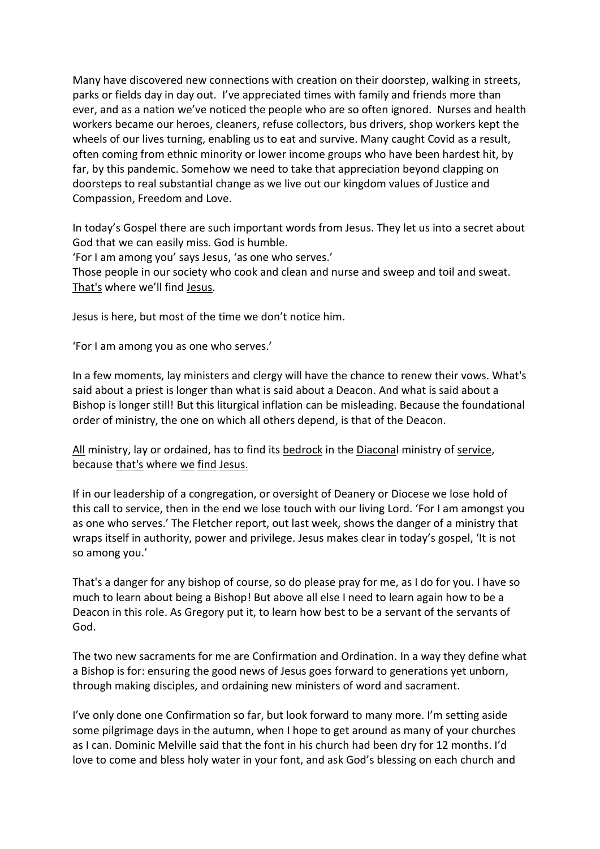Many have discovered new connections with creation on their doorstep, walking in streets, parks or fields day in day out. I've appreciated times with family and friends more than ever, and as a nation we've noticed the people who are so often ignored. Nurses and health workers became our heroes, cleaners, refuse collectors, bus drivers, shop workers kept the wheels of our lives turning, enabling us to eat and survive. Many caught Covid as a result, often coming from ethnic minority or lower income groups who have been hardest hit, by far, by this pandemic. Somehow we need to take that appreciation beyond clapping on doorsteps to real substantial change as we live out our kingdom values of Justice and Compassion, Freedom and Love.

In today's Gospel there are such important words from Jesus. They let us into a secret about God that we can easily miss. God is humble.

'For I am among you' says Jesus, 'as one who serves.'

Those people in our society who cook and clean and nurse and sweep and toil and sweat. That's where we'll find Jesus.

Jesus is here, but most of the time we don't notice him.

'For I am among you as one who serves.'

In a few moments, lay ministers and clergy will have the chance to renew their vows. What's said about a priest is longer than what is said about a Deacon. And what is said about a Bishop is longer still! But this liturgical inflation can be misleading. Because the foundational order of ministry, the one on which all others depend, is that of the Deacon.

All ministry, lay or ordained, has to find its bedrock in the Diaconal ministry of service, because that's where we find Jesus.

If in our leadership of a congregation, or oversight of Deanery or Diocese we lose hold of this call to service, then in the end we lose touch with our living Lord. 'For I am amongst you as one who serves.' The Fletcher report, out last week, shows the danger of a ministry that wraps itself in authority, power and privilege. Jesus makes clear in today's gospel, 'It is not so among you.'

That's a danger for any bishop of course, so do please pray for me, as I do for you. I have so much to learn about being a Bishop! But above all else I need to learn again how to be a Deacon in this role. As Gregory put it, to learn how best to be a servant of the servants of God.

The two new sacraments for me are Confirmation and Ordination. In a way they define what a Bishop is for: ensuring the good news of Jesus goes forward to generations yet unborn, through making disciples, and ordaining new ministers of word and sacrament.

I've only done one Confirmation so far, but look forward to many more. I'm setting aside some pilgrimage days in the autumn, when I hope to get around as many of your churches as I can. Dominic Melville said that the font in his church had been dry for 12 months. I'd love to come and bless holy water in your font, and ask God's blessing on each church and